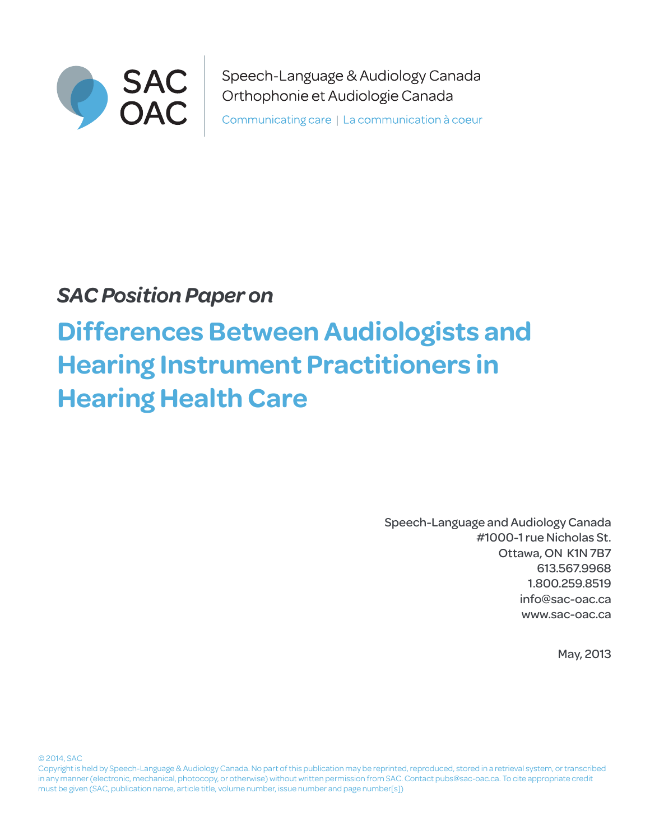

Speech-Language & Audiology Canada Orthophonie et Audiologie Canada Communicating care | La communication à coeur

## *SAC Position Paper on*

# **Differences Between Audiologists and Hearing Instrument Practitioners in Hearing Health Care**

Speech-Language and Audiology Canada #1000-1 rue Nicholas St. Ottawa, ON K1N 7B7 613.567.9968 1.800.259.8519 info@sac-oac.ca [www.](www.caslpa.ca)sac-oac.ca

May, 2013

© 2014, SAC

Copyright is held by Speech-Language & Audiology Canada. No part of this publication may be reprinted, reproduced, stored in a retrieval system, or transcribed in any manner (electronic, mechanical, photocopy, or otherwise) without written permission from SAC. Contact pubs@sac-oac.ca. To cite appropriate credit must be given (SAC, publication name, article title, volume number, issue number and page number[s])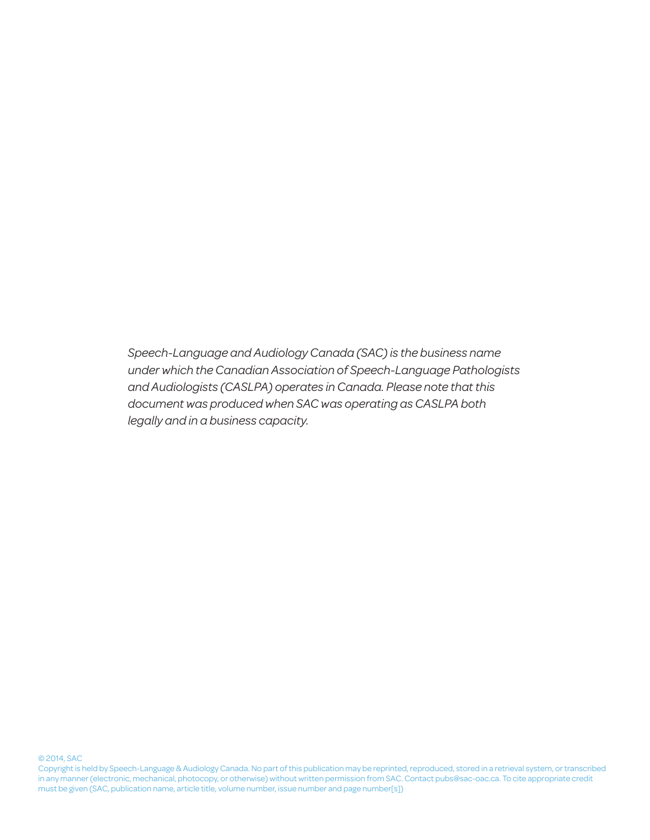*Speech-Language and Audiology Canada (SAC) is the business name under which the Canadian Association of Speech-Language Pathologists and Audiologists (CASLPA) operates in Canada. Please note that this document was produced when SAC was operating as CASLPA both legally and in a business capacity.*

#### © 2014, SAC

Copyright is held by Speech-Language & Audiology Canada. No part of this publication may be reprinted, reproduced, stored in a retrieval system, or transcribed in any manner (electronic, mechanical, photocopy, or otherwise) without written permission from SAC. Contact pubs@sac-oac.ca. To cite appropriate credit must be given (SAC, publication name, article title, volume number, issue number and page number[s])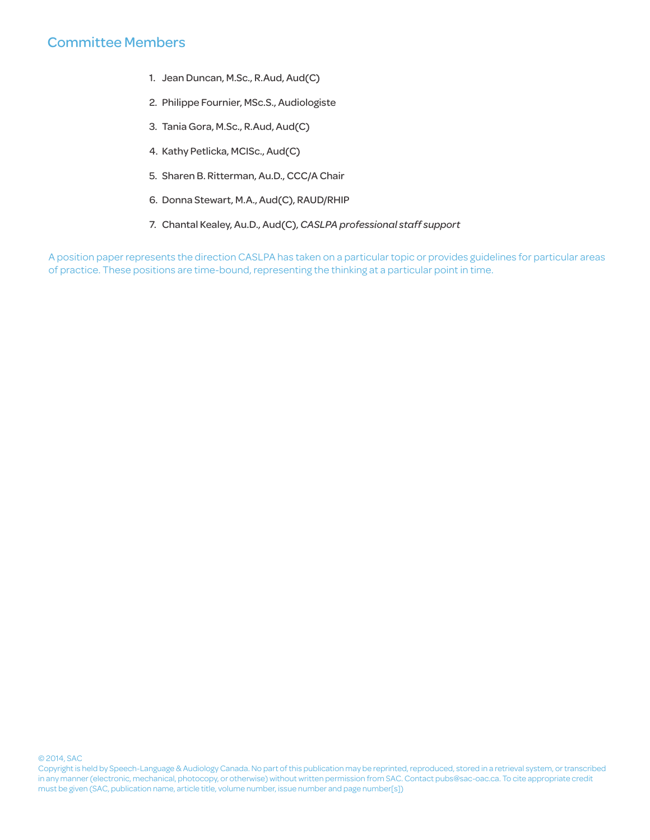## Committee Members

- 1. Jean Duncan, M.Sc., R.Aud, Aud(C)
- 2. Philippe Fournier, MSc.S., Audiologiste
- 3. Tania Gora, M.Sc., R.Aud, Aud(C)
- 4. Kathy Petlicka, MCISc., Aud(C)
- 5. Sharen B. Ritterman, Au.D., CCC/A Chair
- 6. Donna Stewart, M.A., Aud(C), RAUD/RHIP
- 7. Chantal Kealey, Au.D., Aud(C), *CASLPA professional staff support*

A position paper represents the direction CASLPA has taken on a particular topic or provides guidelines for particular areas of practice. These positions are time-bound, representing the thinking at a particular point in time.

#### © 2014, SAC

Copyright is held by Speech-Language & Audiology Canada. No part of this publication may be reprinted, reproduced, stored in a retrieval system, or transcribed in any manner (electronic, mechanical, photocopy, or otherwise) without written permission from SAC. Contact pubs@sac-oac.ca. To cite appropriate credit must be given (SAC, publication name, article title, volume number, issue number and page number[s])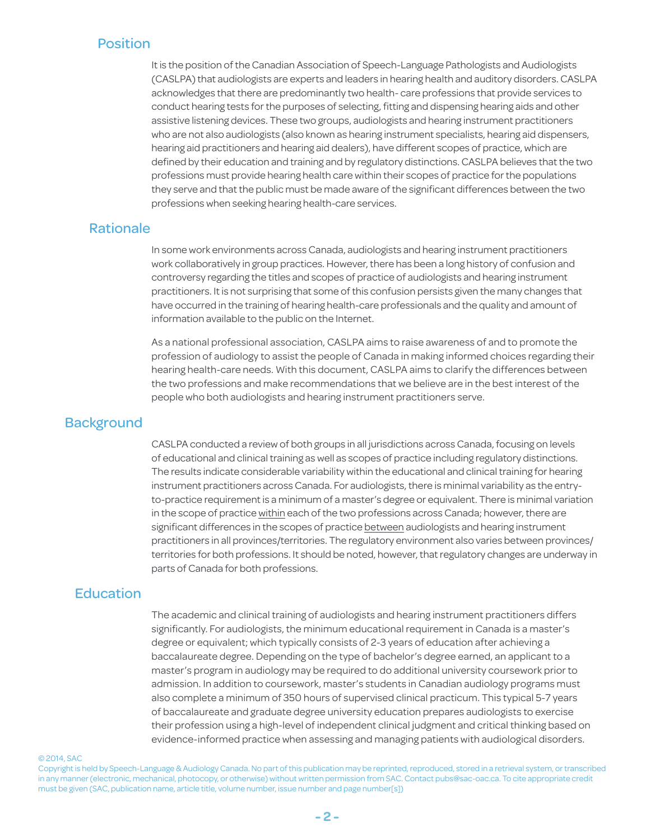#### Position

It is the position of the Canadian Association of Speech-Language Pathologists and Audiologists (CASLPA) that audiologists are experts and leaders in hearing health and auditory disorders. CASLPA acknowledges that there are predominantly two health- care professions that provide services to conduct hearing tests for the purposes of selecting, fitting and dispensing hearing aids and other assistive listening devices. These two groups, audiologists and hearing instrument practitioners who are not also audiologists (also known as hearing instrument specialists, hearing aid dispensers, hearing aid practitioners and hearing aid dealers), have different scopes of practice, which are defined by their education and training and by regulatory distinctions. CASLPA believes that the two professions must provide hearing health care within their scopes of practice for the populations they serve and that the public must be made aware of the significant differences between the two professions when seeking hearing health-care services.

#### Rationale

In some work environments across Canada, audiologists and hearing instrument practitioners work collaboratively in group practices. However, there has been a long history of confusion and controversy regarding the titles and scopes of practice of audiologists and hearing instrument practitioners. It is not surprising that some of this confusion persists given the many changes that have occurred in the training of hearing health-care professionals and the quality and amount of information available to the public on the Internet.

As a national professional association, CASLPA aims to raise awareness of and to promote the profession of audiology to assist the people of Canada in making informed choices regarding their hearing health-care needs. With this document, CASLPA aims to clarify the differences between the two professions and make recommendations that we believe are in the best interest of the people who both audiologists and hearing instrument practitioners serve.

#### **Background**

CASLPA conducted a review of both groups in all jurisdictions across Canada, focusing on levels of educational and clinical training as well as scopes of practice including regulatory distinctions. The results indicate considerable variability within the educational and clinical training for hearing instrument practitioners across Canada. For audiologists, there is minimal variability as the entryto-practice requirement is a minimum of a master's degree or equivalent. There is minimal variation in the scope of practice within each of the two professions across Canada; however, there are significant differences in the scopes of practice between audiologists and hearing instrument practitioners in all provinces/territories. The regulatory environment also varies between provinces/ territories for both professions. It should be noted, however, that regulatory changes are underway in parts of Canada for both professions.

#### **Education**

The academic and clinical training of audiologists and hearing instrument practitioners differs significantly. For audiologists, the minimum educational requirement in Canada is a master's degree or equivalent; which typically consists of 2-3 years of education after achieving a baccalaureate degree. Depending on the type of bachelor's degree earned, an applicant to a master's program in audiology may be required to do additional university coursework prior to admission. In addition to coursework, master's students in Canadian audiology programs must also complete a minimum of 350 hours of supervised clinical practicum. This typical 5-7 years of baccalaureate and graduate degree university education prepares audiologists to exercise their profession using a high-level of independent clinical judgment and critical thinking based on evidence-informed practice when assessing and managing patients with audiological disorders.

#### © 2014, SAC

Copyright is held by Speech-Language & Audiology Canada. No part of this publication may be reprinted, reproduced, stored in a retrieval system, or transcribed in any manner (electronic, mechanical, photocopy, or otherwise) without written permission from SAC. Contact pubs@sac-oac.ca. To cite appropriate credit must be given (SAC, publication name, article title, volume number, issue number and page number[s])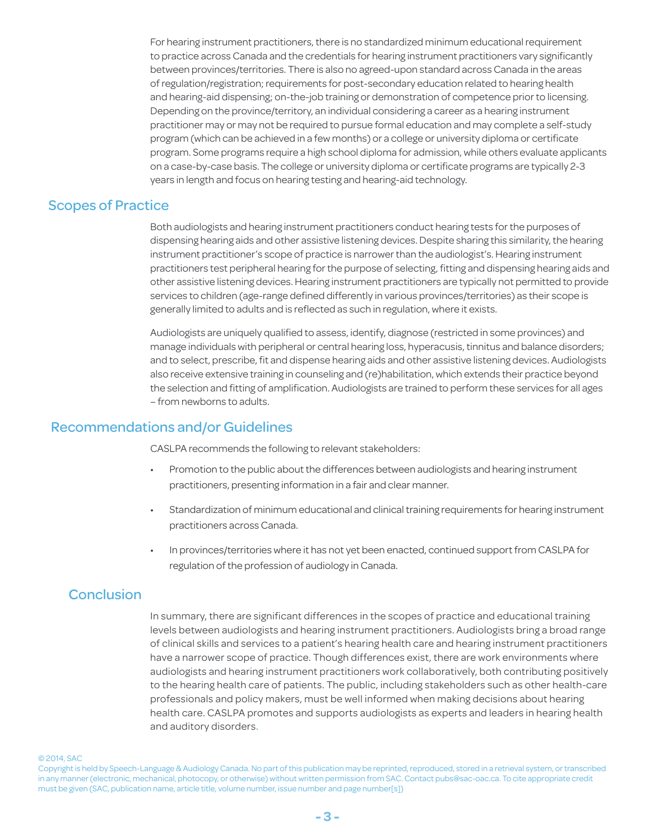For hearing instrument practitioners, there is no standardized minimum educational requirement to practice across Canada and the credentials for hearing instrument practitioners vary significantly between provinces/territories. There is also no agreed-upon standard across Canada in the areas of regulation/registration; requirements for post-secondary education related to hearing health and hearing-aid dispensing; on-the-job training or demonstration of competence prior to licensing. Depending on the province/territory, an individual considering a career as a hearing instrument practitioner may or may not be required to pursue formal education and may complete a self-study program (which can be achieved in a few months) or a college or university diploma or certificate program. Some programs require a high school diploma for admission, while others evaluate applicants on a case-by-case basis. The college or university diploma or certificate programs are typically 2-3 years in length and focus on hearing testing and hearing-aid technology.

#### Scopes of Practice

Both audiologists and hearing instrument practitioners conduct hearing tests for the purposes of dispensing hearing aids and other assistive listening devices. Despite sharing this similarity, the hearing instrument practitioner's scope of practice is narrower than the audiologist's. Hearing instrument practitioners test peripheral hearing for the purpose of selecting, fitting and dispensing hearing aids and other assistive listening devices. Hearing instrument practitioners are typically not permitted to provide services to children (age-range defined differently in various provinces/territories) as their scope is generally limited to adults and is reflected as such in regulation, where it exists.

Audiologists are uniquely qualified to assess, identify, diagnose (restricted in some provinces) and manage individuals with peripheral or central hearing loss, hyperacusis, tinnitus and balance disorders; and to select, prescribe, fit and dispense hearing aids and other assistive listening devices. Audiologists also receive extensive training in counseling and (re)habilitation, which extends their practice beyond the selection and fitting of amplification. Audiologists are trained to perform these services for all ages – from newborns to adults.

#### Recommendations and/or Guidelines

CASLPA recommends the following to relevant stakeholders:

- Promotion to the public about the differences between audiologists and hearing instrument practitioners, presenting information in a fair and clear manner.
- Standardization of minimum educational and clinical training requirements for hearing instrument practitioners across Canada.
- In provinces/territories where it has not yet been enacted, continued support from CASLPA for regulation of the profession of audiology in Canada.

#### **Conclusion**

In summary, there are significant differences in the scopes of practice and educational training levels between audiologists and hearing instrument practitioners. Audiologists bring a broad range of clinical skills and services to a patient's hearing health care and hearing instrument practitioners have a narrower scope of practice. Though differences exist, there are work environments where audiologists and hearing instrument practitioners work collaboratively, both contributing positively to the hearing health care of patients. The public, including stakeholders such as other health-care professionals and policy makers, must be well informed when making decisions about hearing health care. CASLPA promotes and supports audiologists as experts and leaders in hearing health and auditory disorders.

© 2014, SAC

Copyright is held by Speech-Language & Audiology Canada. No part of this publication may be reprinted, reproduced, stored in a retrieval system, or transcribed in any manner (electronic, mechanical, photocopy, or otherwise) without written permission from SAC. Contact pubs@sac-oac.ca. To cite appropriate credit must be given (SAC, publication name, article title, volume number, issue number and page number[s])